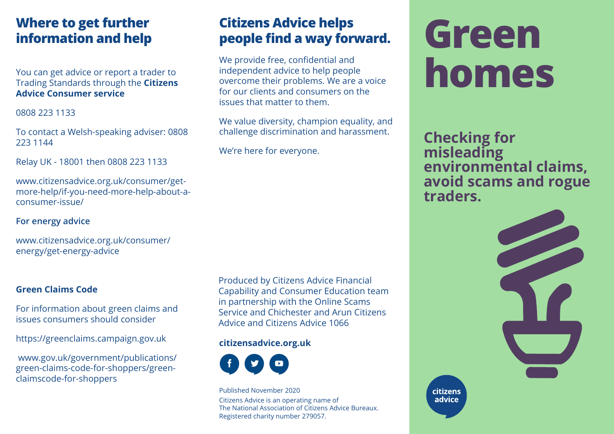# **Where to get further information and help**

You can get advice or report a trader to Trading Standards through the **Citizens Advice Consumer service**

0808 223 1133

To contact a Welsh-speaking adviser: 0808 223 1144

Relay UK - 18001 then 0808 223 1133

[www.citizensadvice.org.uk/consumer/ge](http://www.citizensadvice.org.uk/consumer/get-more-help/if-you-need-more-help-about-a-consumer-issue/)t[more-help/if-you-need-more-help-about-a](http://www.citizensadvice.org.uk/consumer/get-more-help/if-you-need-more-help-about-a-consumer-issue/)consumer-[issue/](http://www.citizensadvice.org.uk/consumer/get-more-help/if-you-need-more-help-about-a-consumer-issue/)

## **For energy advice**

[www.citizensadvice.org.uk/consumer/](http://www.citizensadvice.org.uk/consumer/energy/get-energy-advice) energy/get-energy-advice

## **Green Claims Code**

For information about green claims and issues consumers should consider

<https://greenclaims.campaign.gov.uk>

[www.gov.uk/government/publications/](http://www.gov.uk/government/publications/green-claims-code-for-shoppers/greenclaimscode-for-shoppers) [green-claims-code-for-shoppers/green](https://www.gov.uk/government/publications/green-claims-code-for-shoppers)claimscode-for-shoppers

Produced by Citizens Advice Financial Capability and Consumer Education team in partnership with the Online Scams Service and Chichester and Arun Citizens Advice and Citizens Advice 1066

**Citizens Advice helps**

We provide free, confidential and independent advice to help people

issues that matter to them.

We're here for everyone.

**people find a way forward.**

overcome their problems. We are a voice for our clients and consumers on the

We value diversity, champion equality, and challenge discrimination and harassment.

### **citizensadvice.org.uk**



Published November 2020 Citizens Advice is an operating name of The National Association of Citizens Advice Bureaux. Registered charity number 279057.

# **Green homes**

**Checking for misleading environmental claims, avoid scams and rogue traders.**



citizens advice